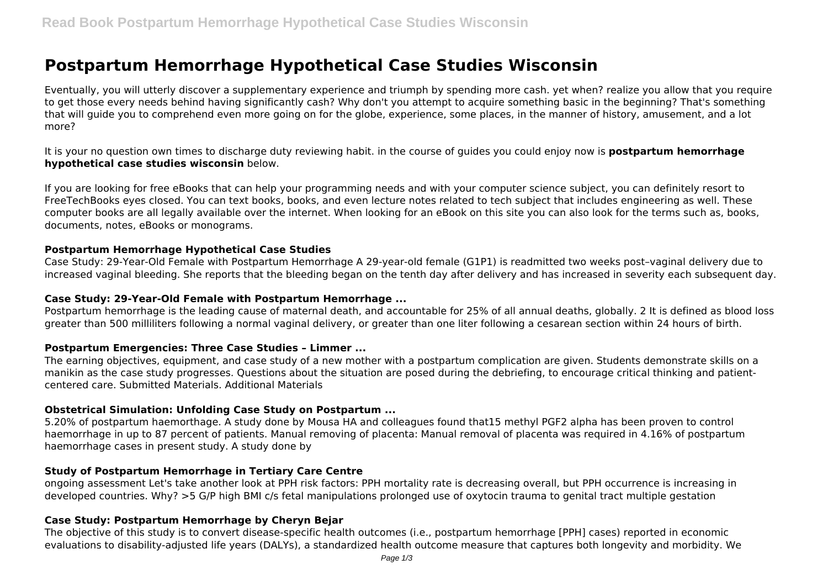# **Postpartum Hemorrhage Hypothetical Case Studies Wisconsin**

Eventually, you will utterly discover a supplementary experience and triumph by spending more cash. yet when? realize you allow that you require to get those every needs behind having significantly cash? Why don't you attempt to acquire something basic in the beginning? That's something that will guide you to comprehend even more going on for the globe, experience, some places, in the manner of history, amusement, and a lot more?

It is your no question own times to discharge duty reviewing habit. in the course of guides you could enjoy now is **postpartum hemorrhage hypothetical case studies wisconsin** below.

If you are looking for free eBooks that can help your programming needs and with your computer science subject, you can definitely resort to FreeTechBooks eyes closed. You can text books, books, and even lecture notes related to tech subject that includes engineering as well. These computer books are all legally available over the internet. When looking for an eBook on this site you can also look for the terms such as, books, documents, notes, eBooks or monograms.

#### **Postpartum Hemorrhage Hypothetical Case Studies**

Case Study: 29-Year-Old Female with Postpartum Hemorrhage A 29-year-old female (G1P1) is readmitted two weeks post–vaginal delivery due to increased vaginal bleeding. She reports that the bleeding began on the tenth day after delivery and has increased in severity each subsequent day.

#### **Case Study: 29-Year-Old Female with Postpartum Hemorrhage ...**

Postpartum hemorrhage is the leading cause of maternal death, and accountable for 25% of all annual deaths, globally. 2 It is defined as blood loss greater than 500 milliliters following a normal vaginal delivery, or greater than one liter following a cesarean section within 24 hours of birth.

#### **Postpartum Emergencies: Three Case Studies – Limmer ...**

The earning objectives, equipment, and case study of a new mother with a postpartum complication are given. Students demonstrate skills on a manikin as the case study progresses. Questions about the situation are posed during the debriefing, to encourage critical thinking and patientcentered care. Submitted Materials. Additional Materials

#### **Obstetrical Simulation: Unfolding Case Study on Postpartum ...**

5.20% of postpartum haemorthage. A study done by Mousa HA and colleagues found that15 methyl PGF2 alpha has been proven to control haemorrhage in up to 87 percent of patients. Manual removing of placenta: Manual removal of placenta was required in 4.16% of postpartum haemorrhage cases in present study. A study done by

# **Study of Postpartum Hemorrhage in Tertiary Care Centre**

ongoing assessment Let's take another look at PPH risk factors: PPH mortality rate is decreasing overall, but PPH occurrence is increasing in developed countries. Why? >5 G/P high BMI c/s fetal manipulations prolonged use of oxytocin trauma to genital tract multiple gestation

# **Case Study: Postpartum Hemorrhage by Cheryn Bejar**

The objective of this study is to convert disease-specific health outcomes (i.e., postpartum hemorrhage [PPH] cases) reported in economic evaluations to disability-adjusted life years (DALYs), a standardized health outcome measure that captures both longevity and morbidity. We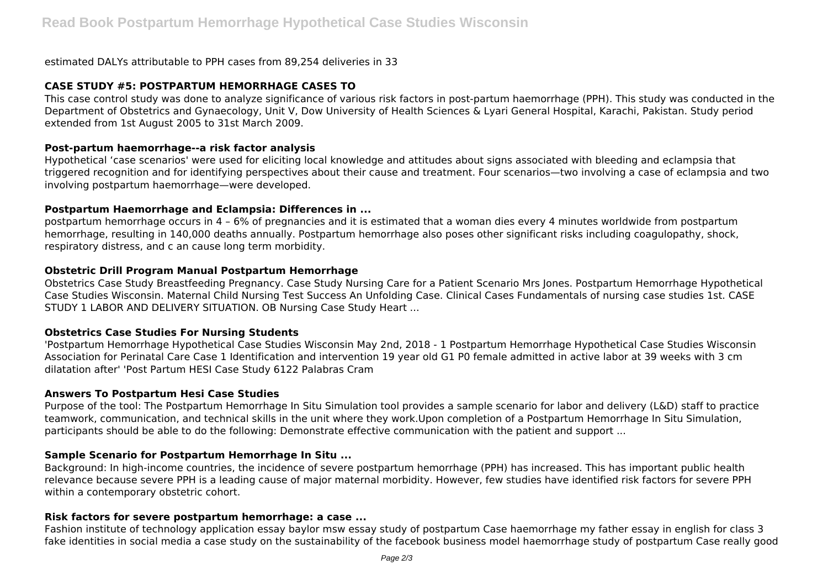estimated DALYs attributable to PPH cases from 89,254 deliveries in 33

## **CASE STUDY #5: POSTPARTUM HEMORRHAGE CASES TO**

This case control study was done to analyze significance of various risk factors in post-partum haemorrhage (PPH). This study was conducted in the Department of Obstetrics and Gynaecology, Unit V, Dow University of Health Sciences & Lyari General Hospital, Karachi, Pakistan. Study period extended from 1st August 2005 to 31st March 2009.

#### **Post-partum haemorrhage--a risk factor analysis**

Hypothetical 'case scenarios' were used for eliciting local knowledge and attitudes about signs associated with bleeding and eclampsia that triggered recognition and for identifying perspectives about their cause and treatment. Four scenarios—two involving a case of eclampsia and two involving postpartum haemorrhage—were developed.

#### **Postpartum Haemorrhage and Eclampsia: Differences in ...**

postpartum hemorrhage occurs in 4 – 6% of pregnancies and it is estimated that a woman dies every 4 minutes worldwide from postpartum hemorrhage, resulting in 140,000 deaths annually. Postpartum hemorrhage also poses other significant risks including coagulopathy, shock, respiratory distress, and c an cause long term morbidity.

#### **Obstetric Drill Program Manual Postpartum Hemorrhage**

Obstetrics Case Study Breastfeeding Pregnancy. Case Study Nursing Care for a Patient Scenario Mrs Jones. Postpartum Hemorrhage Hypothetical Case Studies Wisconsin. Maternal Child Nursing Test Success An Unfolding Case. Clinical Cases Fundamentals of nursing case studies 1st. CASE STUDY 1 LABOR AND DELIVERY SITUATION. OB Nursing Case Study Heart ...

#### **Obstetrics Case Studies For Nursing Students**

'Postpartum Hemorrhage Hypothetical Case Studies Wisconsin May 2nd, 2018 - 1 Postpartum Hemorrhage Hypothetical Case Studies Wisconsin Association for Perinatal Care Case 1 Identification and intervention 19 year old G1 P0 female admitted in active labor at 39 weeks with 3 cm dilatation after' 'Post Partum HESI Case Study 6122 Palabras Cram

#### **Answers To Postpartum Hesi Case Studies**

Purpose of the tool: The Postpartum Hemorrhage In Situ Simulation tool provides a sample scenario for labor and delivery (L&D) staff to practice teamwork, communication, and technical skills in the unit where they work.Upon completion of a Postpartum Hemorrhage In Situ Simulation, participants should be able to do the following: Demonstrate effective communication with the patient and support ...

#### **Sample Scenario for Postpartum Hemorrhage In Situ ...**

Background: In high-income countries, the incidence of severe postpartum hemorrhage (PPH) has increased. This has important public health relevance because severe PPH is a leading cause of major maternal morbidity. However, few studies have identified risk factors for severe PPH within a contemporary obstetric cohort.

#### **Risk factors for severe postpartum hemorrhage: a case ...**

Fashion institute of technology application essay baylor msw essay study of postpartum Case haemorrhage my father essay in english for class 3 fake identities in social media a case study on the sustainability of the facebook business model haemorrhage study of postpartum Case really good